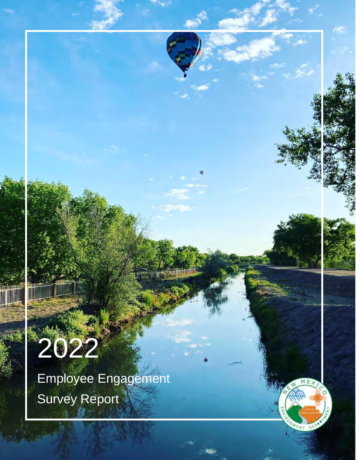

Employee Engagement Survey Report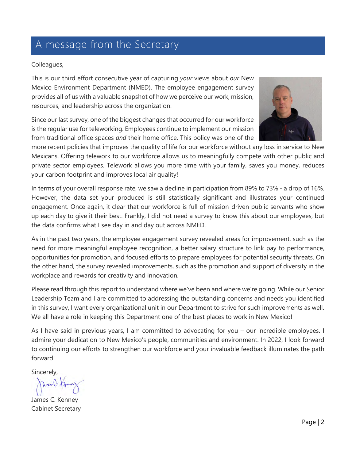### A message from the Secretary

#### Colleagues,

This is our third effort consecutive year of capturing *your* views about *our* New Mexico Environment Department (NMED). The employee engagement survey provides all of us with a valuable snapshot of how we perceive our work, mission, resources, and leadership across the organization.

Since our last survey, one of the biggest changes that occurred for our workforce is the regular use for teleworking. Employees continue to implement our mission from traditional office spaces *and* their home office. This policy was one of the



more recent policies that improves the quality of life for our workforce without any loss in service to New Mexicans. Offering telework to our workforce allows us to meaningfully compete with other public and private sector employees. Telework allows you more time with your family, saves you money, reduces your carbon footprint and improves local air quality!

In terms of your overall response rate, we saw a decline in participation from 89% to 73% - a drop of 16%. However, the data set your produced is still statistically significant and illustrates your continued engagement. Once again, it clear that our workforce is full of mission-driven public servants who show up each day to give it their best. Frankly, I did not need a survey to know this about our employees, but the data confirms what I see day in and day out across NMED.

As in the past two years, the employee engagement survey revealed areas for improvement, such as the need for more meaningful employee recognition, a better salary structure to link pay to performance, opportunities for promotion, and focused efforts to prepare employees for potential security threats. On the other hand, the survey revealed improvements, such as the promotion and support of diversity in the workplace and rewards for creativity and innovation.

Please read through this report to understand where we've been and where we're going. While our Senior Leadership Team and I are committed to addressing the outstanding concerns and needs you identified in this survey, I want every organizational unit in our Department to strive for such improvements as well. We all have a role in keeping this Department one of the best places to work in New Mexico!

As I have said in previous years, I am committed to advocating for you – our incredible employees. I admire your dedication to New Mexico's people, communities and environment. In 2022, I look forward to continuing our efforts to strengthen our workforce and your invaluable feedback illuminates the path forward!

Sincerely,

Janne Ja

James C. Kenney Cabinet Secretary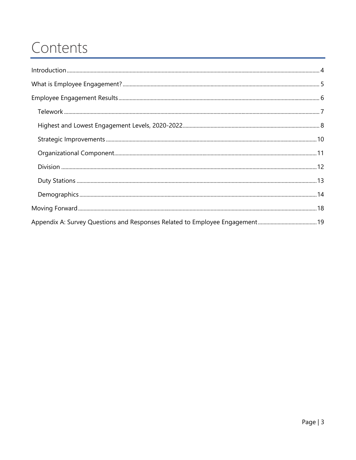### Contents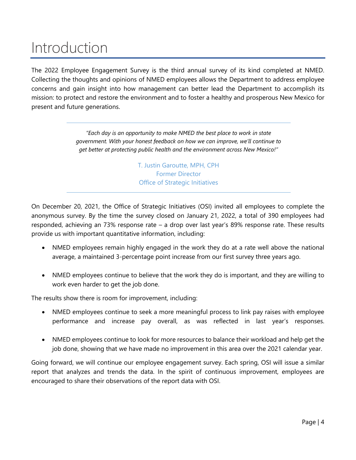### <span id="page-3-0"></span>Introduction

The 2022 Employee Engagement Survey is the third annual survey of its kind completed at NMED. Collecting the thoughts and opinions of NMED employees allows the Department to address employee concerns and gain insight into how management can better lead the Department to accomplish its mission: to protect and restore the environment and to foster a healthy and prosperous New Mexico for present and future generations.

> *"Each day is an opportunity to make NMED the best place to work in state government. With your honest feedback on how we can improve, we'll continue to get better at protecting public health and the environment across New Mexico!"*

> > T. Justin Garoutte, MPH, CPH Former Director Office of Strategic Initiatives

On December 20, 2021, the Office of Strategic Initiatives (OSI) invited all employees to complete the anonymous survey. By the time the survey closed on January 21, 2022, a total of 390 employees had responded, achieving an 73% response rate – a drop over last year's 89% response rate. These results provide us with important quantitative information, including:

- NMED employees remain highly engaged in the work they do at a rate well above the national average, a maintained 3-percentage point increase from our first survey three years ago.
- NMED employees continue to believe that the work they do is important, and they are willing to work even harder to get the job done.

The results show there is room for improvement, including:

- NMED employees continue to seek a more meaningful process to link pay raises with employee performance and increase pay overall, as was reflected in last year's responses.
- NMED employees continue to look for more resources to balance their workload and help get the job done, showing that we have made no improvement in this area over the 2021 calendar year.

Going forward, we will continue our employee engagement survey. Each spring, OSI will issue a similar report that analyzes and trends the data. In the spirit of continuous improvement, employees are encouraged to share their observations of the report data with OSI.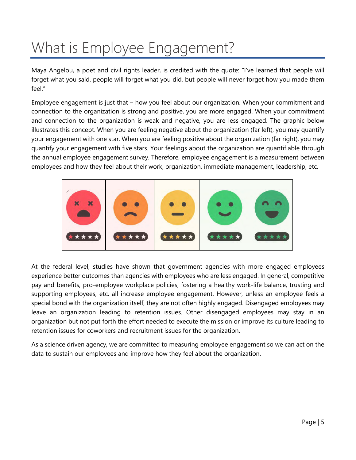# <span id="page-4-0"></span>What is Employee Engagement?

Maya Angelou, a poet and civil rights leader, is credited with the quote: "I've learned that people will forget what you said, people will forget what you did, but people will never forget how you made them  $f$ eel"

Employee engagement is just that – how you feel about our organization. When your commitment and connection to the organization is strong and positive, you are more engaged. When your commitment and connection to the organization is weak and negative, you are less engaged. The graphic below illustrates this concept. When you are feeling negative about the organization (far left), you may quantify your engagement with one star. When you are feeling positive about the organization (far right), you may quantify your engagement with five stars. Your feelings about the organization are quantifiable through the annual employee engagement survey. Therefore, employee engagement is a measurement between employees and how they feel about their work, organization, immediate management, leadership, etc.



At the federal level, studies have shown that government agencies with more engaged employees experience better outcomes than agencies with employees who are less engaged. In general, competitive pay and benefits, pro-employee workplace policies, fostering a healthy work-life balance, trusting and supporting employees, etc. all increase employee engagement. However, unless an employee feels a special bond with the organization itself, they are not often highly engaged. Disengaged employees may leave an organization leading to retention issues. Other disengaged employees may stay in an organization but not put forth the effort needed to execute the mission or improve its culture leading to retention issues for coworkers and recruitment issues for the organization.

As a science driven agency, we are committed to measuring employee engagement so we can act on the data to sustain our employees and improve how they feel about the organization.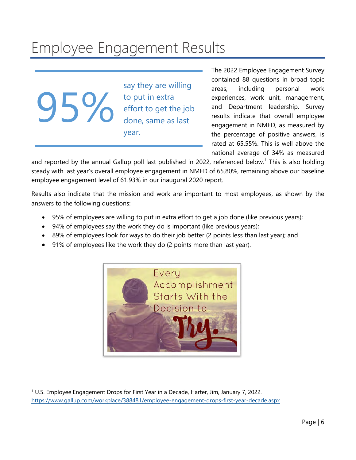## <span id="page-5-0"></span>Employee Engagement Results

95%

say they are willing to put in extra effort to get the job done, same as last year.

The 2022 Employee Engagement Survey contained 88 questions in broad topic areas, including personal work experiences, work unit, management, and Department leadership. Survey results indicate that overall employee engagement in NMED, as measured by the percentage of positive answers, is rated at 65.55%. This is well above the national average of 34% as measured

and reported by the annual Gallup poll last published in 2022, referenced below.<sup>[1](#page-5-1)</sup> This is also holding steady with last year's overall employee engagement in NMED of 65.80%, remaining above our baseline employee engagement level of 61.93% in our inaugural 2020 report.

Results also indicate that the mission and work are important to most employees, as shown by the answers to the following questions:

- 95% of employees are willing to put in extra effort to get a job done (like previous years);
- 94% of employees say the work they do is important (like previous years);
- 89% of employees look for ways to do their job better (2 points less than last year); and
- 91% of employees like the work they do (2 points more than last year).



<span id="page-5-1"></span><sup>&</sup>lt;sup>1</sup> U.S. Employee Engagement Drops for First Year in a Decade, Harter, Jim, January 7, 2022. https://www.gallup.com/workplace/388481/employee-engagement-drops-first-year-decade.aspx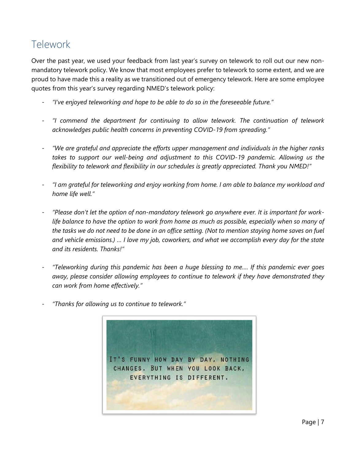### <span id="page-6-0"></span>Telework

Over the past year, we used your feedback from last year's survey on telework to roll out our new nonmandatory telework policy. We know that most employees prefer to telework to some extent, and we are proud to have made this a reality as we transitioned out of emergency telework. Here are some employee quotes from this year's survey regarding NMED's telework policy:

- *"I've enjoyed teleworking and hope to be able to do so in the foreseeable future."*
- *"I commend the department for continuing to allow telework. The continuation of telework acknowledges public health concerns in preventing COVID-19 from spreading."*
- *"We are grateful and appreciate the efforts upper management and individuals in the higher ranks takes to support our well-being and adjustment to this COVID-19 pandemic. Allowing us the flexibility to telework and flexibility in our schedules is greatly appreciated. Thank you NMED!"*
- *"I am grateful for teleworking and enjoy working from home. I am able to balance my workload and home life well."*
- "Please don't let the option of non-mandatory telework go anywhere ever. It is important for work*life balance to have the option to work from home as much as possible, especially when so many of the tasks we do not need to be done in an office setting. (Not to mention staying home saves on fuel and vehicle emissions.) … I love my job, coworkers, and what we accomplish every day for the state and its residents. Thanks!"*
- *"Teleworking during this pandemic has been a huge blessing to me…. If this pandemic ever goes away, please consider allowing employees to continue to telework if they have demonstrated they can work from home effectively."*
- *"Thanks for allowing us to continue to telework."*

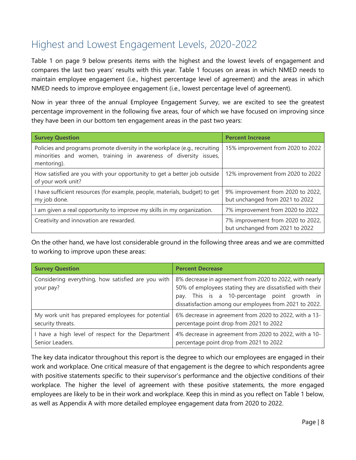### <span id="page-7-0"></span>Highest and Lowest Engagement Levels, 2020-2022

Table 1 on page 9 below presents items with the highest and the lowest levels of engagement and compares the last two years' results with this year. Table 1 focuses on areas in which NMED needs to maintain employee engagement (i.e., highest percentage level of agreement) and the areas in which NMED needs to improve employee engagement (i.e., lowest percentage level of agreement).

Now in year three of the annual Employee Engagement Survey, we are excited to see the greatest percentage improvement in the following five areas, four of which we have focused on improving since they have been in our bottom ten engagement areas in the past two years:

| <b>Survey Question</b>                                                                                                                                        | <b>Percent Increase</b>                                              |
|---------------------------------------------------------------------------------------------------------------------------------------------------------------|----------------------------------------------------------------------|
| Policies and programs promote diversity in the workplace (e.g., recruiting<br>minorities and women, training in awareness of diversity issues,<br>mentoring). | 15% improvement from 2020 to 2022                                    |
| How satisfied are you with your opportunity to get a better job outside<br>of your work unit?                                                                 | 12% improvement from 2020 to 2022                                    |
| I have sufficient resources (for example, people, materials, budget) to get<br>my job done.                                                                   | 9% improvement from 2020 to 2022,<br>but unchanged from 2021 to 2022 |
| am given a real opportunity to improve my skills in my organization.                                                                                          | 7% improvement from 2020 to 2022                                     |
| Creativity and innovation are rewarded.                                                                                                                       | 7% improvement from 2020 to 2022,<br>but unchanged from 2021 to 2022 |

On the other hand, we have lost considerable ground in the following three areas and we are committed to working to improve upon these areas:

| <b>Survey Question</b>                                          | <b>Percent Decrease</b>                                                                                                                                                                                                        |
|-----------------------------------------------------------------|--------------------------------------------------------------------------------------------------------------------------------------------------------------------------------------------------------------------------------|
| Considering everything, how satisfied are you with<br>your pay? | 8% decrease in agreement from 2020 to 2022, with nearly<br>50% of employees stating they are dissatisfied with their<br>pay. This is a 10-percentage point growth in<br>dissatisfaction among our employees from 2021 to 2022. |
| My work unit has prepared employees for potential               | 6% decrease in agreement from 2020 to 2022, with a 13-                                                                                                                                                                         |
| security threats.                                               | percentage point drop from 2021 to 2022                                                                                                                                                                                        |
| I have a high level of respect for the Department               | 4% decrease in agreement from 2020 to 2022, with a 10-                                                                                                                                                                         |
| Senior Leaders.                                                 | percentage point drop from 2021 to 2022                                                                                                                                                                                        |

The key data indicator throughout this report is the degree to which our employees are engaged in their work and workplace. One critical measure of that engagement is the degree to which respondents agree with positive statements specific to their supervisor's performance and the objective conditions of their workplace. The higher the level of agreement with these positive statements, the more engaged employees are likely to be in their work and workplace. Keep this in mind as you reflect on Table 1 below, as well as Appendix A with more detailed employee engagement data from 2020 to 2022.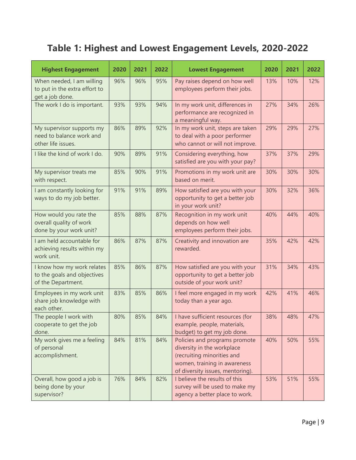### **Table 1: Highest and Lowest Engagement Levels, 2020-2022**

| <b>Highest Engagement</b>                                                       | 2020 | 2021 | 2022 | <b>Lowest Engagement</b>                                                                                                                                      | 2020 | 2021 | 2022 |
|---------------------------------------------------------------------------------|------|------|------|---------------------------------------------------------------------------------------------------------------------------------------------------------------|------|------|------|
| When needed, I am willing<br>to put in the extra effort to<br>get a job done.   | 96%  | 96%  | 95%  | Pay raises depend on how well<br>employees perform their jobs.                                                                                                | 13%  | 10%  | 12%  |
| The work I do is important.                                                     | 93%  | 93%  | 94%  | In my work unit, differences in<br>performance are recognized in<br>a meaningful way.                                                                         | 27%  | 34%  | 26%  |
| My supervisor supports my<br>need to balance work and<br>other life issues.     | 86%  | 89%  | 92%  | In my work unit, steps are taken<br>to deal with a poor performer<br>who cannot or will not improve.                                                          | 29%  | 29%  | 27%  |
| I like the kind of work I do.                                                   | 90%  | 89%  | 91%  | Considering everything, how<br>satisfied are you with your pay?                                                                                               | 37%  | 37%  | 29%  |
| My supervisor treats me<br>with respect.                                        | 85%  | 90%  | 91%  | Promotions in my work unit are<br>based on merit.                                                                                                             | 30%  | 30%  | 30%  |
| I am constantly looking for<br>ways to do my job better.                        | 91%  | 91%  | 89%  | How satisfied are you with your<br>opportunity to get a better job<br>in your work unit?                                                                      | 30%  | 32%  | 36%  |
| How would you rate the<br>overall quality of work<br>done by your work unit?    | 85%  | 88%  | 87%  | Recognition in my work unit<br>depends on how well<br>employees perform their jobs.                                                                           | 40%  | 44%  | 40%  |
| I am held accountable for<br>achieving results within my<br>work unit.          | 86%  | 87%  | 87%  | Creativity and innovation are<br>rewarded.                                                                                                                    | 35%  | 42%  | 42%  |
| I know how my work relates<br>to the goals and objectives<br>of the Department. | 85%  | 86%  | 87%  | How satisfied are you with your<br>opportunity to get a better job<br>outside of your work unit?                                                              | 31%  | 34%  | 43%  |
| Employees in my work unit<br>share job knowledge with<br>each other.            | 83%  | 85%  | 86%  | I feel more engaged in my work<br>today than a year ago.                                                                                                      | 42%  | 41%  | 46%  |
| The people I work with<br>cooperate to get the job<br>done.                     | 80%  | 85%  | 84%  | I have sufficient resources (for<br>example, people, materials,<br>budget) to get my job done.                                                                | 38%  | 48%  | 47%  |
| My work gives me a feeling<br>of personal<br>accomplishment.                    | 84%  | 81%  | 84%  | Policies and programs promote<br>diversity in the workplace<br>(recruiting minorities and<br>women, training in awareness<br>of diversity issues, mentoring). | 40%  | 50%  | 55%  |
| Overall, how good a job is<br>being done by your<br>supervisor?                 | 76%  | 84%  | 82%  | I believe the results of this<br>survey will be used to make my<br>agency a better place to work.                                                             | 53%  | 51%  | 55%  |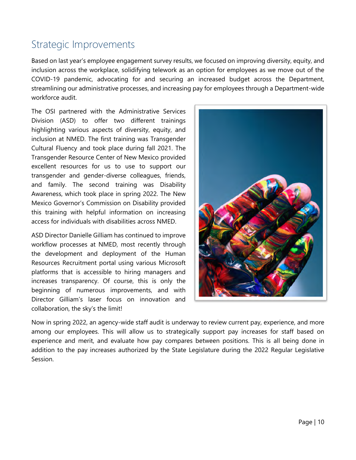#### <span id="page-9-0"></span>Strategic Improvements

Based on last year's employee engagement survey results, we focused on improving diversity, equity, and inclusion across the workplace, solidifying telework as an option for employees as we move out of the COVID-19 pandemic, advocating for and securing an increased budget across the Department, streamlining our administrative processes, and increasing pay for employees through a Department-wide workforce audit.

The OSI partnered with the Administrative Services Division (ASD) to offer two different trainings highlighting various aspects of diversity, equity, and inclusion at NMED. The first training was Transgender Cultural Fluency and took place during fall 2021. The Transgender Resource Center of New Mexico provided excellent resources for us to use to support our transgender and gender-diverse colleagues, friends, and family. The second training was Disability Awareness, which took place in spring 2022. The New Mexico Governor's Commission on Disability provided this training with helpful information on increasing access for individuals with disabilities across NMED.

ASD Director Danielle Gilliam has continued to improve workflow processes at NMED, most recently through the development and deployment of the Human Resources Recruitment portal using various Microsoft platforms that is accessible to hiring managers and increases transparency. Of course, this is only the beginning of numerous improvements, and with Director Gilliam's laser focus on innovation and collaboration, the sky's the limit!



Now in spring 2022, an agency-wide staff audit is underway to review current pay, experience, and more among our employees. This will allow us to strategically support pay increases for staff based on experience and merit, and evaluate how pay compares between positions. This is all being done in addition to the pay increases authorized by the State Legislature during the 2022 Regular Legislative Session.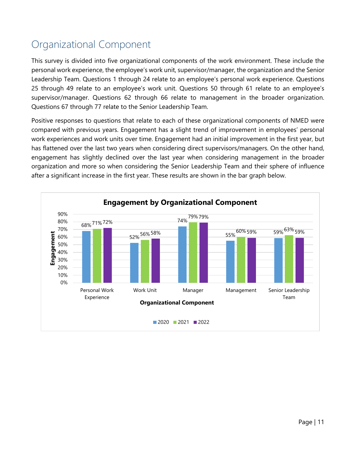### <span id="page-10-0"></span>Organizational Component

This survey is divided into five organizational components of the work environment. These include the personal work experience, the employee's work unit, supervisor/manager, the organization and the Senior Leadership Team. Questions 1 through 24 relate to an employee's personal work experience. Questions 25 through 49 relate to an employee's work unit. Questions 50 through 61 relate to an employee's supervisor/manager. Questions 62 through 66 relate to management in the broader organization. Questions 67 through 77 relate to the Senior Leadership Team.

Positive responses to questions that relate to each of these organizational components of NMED were compared with previous years. Engagement has a slight trend of improvement in employees' personal work experiences and work units over time. Engagement had an initial improvement in the first year, but has flattened over the last two years when considering direct supervisors/managers. On the other hand, engagement has slightly declined over the last year when considering management in the broader organization and more so when considering the Senior Leadership Team and their sphere of influence after a significant increase in the first year. These results are shown in the bar graph below.

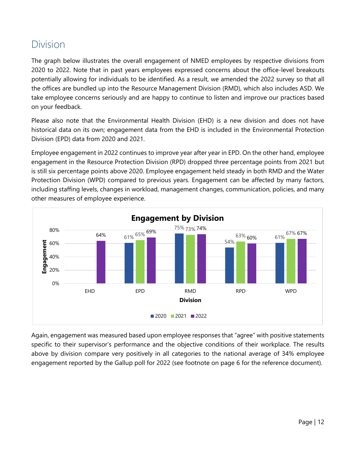#### <span id="page-11-0"></span>Division

The graph below illustrates the overall engagement of NMED employees by respective divisions from 2020 to 2022. Note that in past years employees expressed concerns about the office-level breakouts potentially allowing for individuals to be identified. As a result, we amended the 2022 survey so that all the offices are bundled up into the Resource Management Division (RMD), which also includes ASD. We take employee concerns seriously and are happy to continue to listen and improve our practices based on your feedback.

Please also note that the Environmental Health Division (EHD) is a new division and does not have historical data on its own; engagement data from the EHD is included in the Environmental Protection Division (EPD) data from 2020 and 2021.

Employee engagement in 2022 continues to improve year after year in EPD. On the other hand, employee engagement in the Resource Protection Division (RPD) dropped three percentage points from 2021 but is still six percentage points above 2020. Employee engagement held steady in both RMD and the Water Protection Division (WPD) compared to previous years. Engagement can be affected by many factors, including staffing levels, changes in workload, management changes, communication, policies, and many other measures of employee experience.



Again, engagement was measured based upon employee responses that "agree" with positive statements specific to their supervisor's performance and the objective conditions of their workplace. The results above by division compare very positively in all categories to the national average of 34% employee engagement reported by the Gallup poll for 2022 (see footnote on page 6 for the reference document).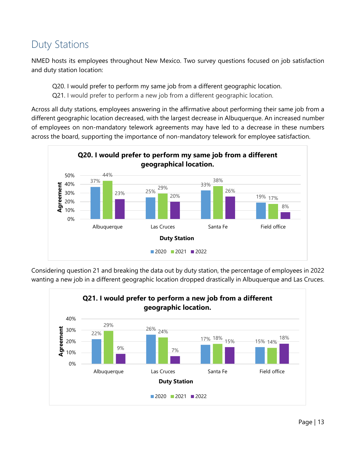### <span id="page-12-0"></span>Duty Stations

NMED hosts its employees throughout New Mexico. Two survey questions focused on job satisfaction and duty station location:

Q20. I would prefer to perform my same job from a different geographic location.

Q21. I would prefer to perform a new job from a different geographic location.

Across all duty stations, employees answering in the affirmative about performing their same job from a different geographic location decreased, with the largest decrease in Albuquerque. An increased number of employees on non-mandatory telework agreements may have led to a decrease in these numbers across the board, supporting the importance of non-mandatory telework for employee satisfaction.



Considering question 21 and breaking the data out by duty station, the percentage of employees in 2022 wanting a new job in a different geographic location dropped drastically in Albuquerque and Las Cruces.

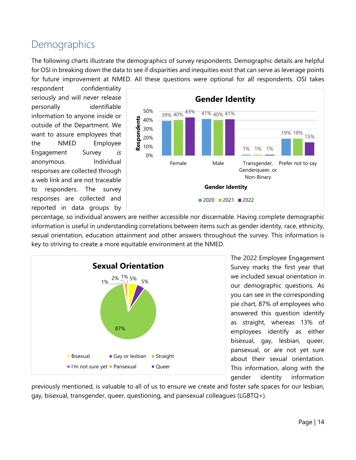#### <span id="page-13-0"></span>**Demographics**

The following charts illustrate the demographics of survey respondents. Demographic details are helpful for OSI in breaking down the data to see if disparities and inequities exist that can serve as leverage points for future improvement at NMED. All these questions were optional for all respondents. OSI takes

respondent confidentiality seriously and will never release personally identifiable information to anyone inside or outside of the Department. We want to assure employees that the NMED Employee Engagement Survey *is* anonymous. Individual responses are collected through a web link and are not traceable to responders. The survey responses are collected and reported in data groups by



percentage, so individual answers are neither accessible nor discernable. Having complete demographic information is useful in understanding correlations between items such as gender identity, race, ethnicity, sexual orientation, education attainment and other answers throughout the survey. This information is key to striving to create a more equitable environment at the NMED.



The 2022 Employee Engagement Survey marks the first year that we included sexual orientation in our demographic questions. As you can see in the corresponding pie chart, 87% of employees who answered this question identify as straight, whereas 13% of employees identify as either bisexual, gay, lesbian, queer, pansexual, or are not yet sure about their sexual orientation. This information, along with the gender identity information

previously mentioned, is valuable to all of us to ensure we create and foster safe spaces for our lesbian, gay, bisexual, transgender, queer, questioning, and pansexual colleagues (LGBTQ+).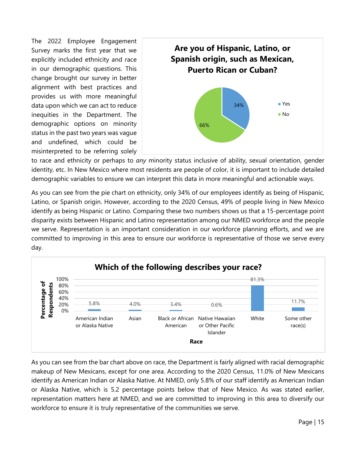The 2022 Employee Engagement Survey marks the first year that we explicitly included ethnicity and race in our demographic questions. This change brought our survey in better alignment with best practices and provides us with more meaningful data upon which we can act to reduce inequities in the Department. The demographic options on minority status in the past two years was vague and undefined, which could be misinterpreted to be referring solely



to race and ethnicity or perhaps to *any* minority status inclusive of ability, sexual orientation, gender identity, etc. In New Mexico where most residents are people of color, it is important to include detailed demographic variables to ensure we can interpret this data in more meaningful and actionable ways.

As you can see from the pie chart on ethnicity, only 34% of our employees identify as being of Hispanic, Latino, or Spanish origin. However, according to the 2020 Census, 49% of people living in New Mexico identify as being Hispanic or Latino. Comparing these two numbers shows us that a 15-percentage point disparity exists between Hispanic and Latino representation among our NMED workforce and the people we serve. Representation is an important consideration in our workforce planning efforts, and we are committed to improving in this area to ensure our workforce is representative of those we serve every day.



As you can see from the bar chart above on race, the Department is fairly aligned with racial demographic makeup of New Mexicans, except for one area. According to the 2020 Census, 11.0% of New Mexicans identify as American Indian or Alaska Native. At NMED, only 5.8% of our staff identify as American Indian or Alaska Native, which is 5.2 percentage points below that of New Mexico. As was stated earlier, representation matters here at NMED, and we are committed to improving in this area to diversify our workforce to ensure it is truly representative of the communities we serve.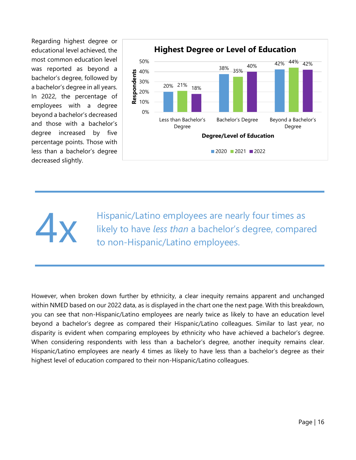Regarding highest degree or educational level achieved, the most common education level was reported as beyond a bachelor's degree, followed by a bachelor's degree in all years. In 2022, the percentage of employees with a degree beyond a bachelor's decreased and those with a bachelor's degree increased by five percentage points. Those with less than a bachelor's degree decreased slightly.



Hispanic/Latino employees are nearly four times as<br>likely to have *less than* a bachelor's degree, compare<br>to non-Hispanic/Latino employees. likely to have *less than* a bachelor's degree, compared to non-Hispanic/Latino employees.

However, when broken down further by ethnicity, a clear inequity remains apparent and unchanged within NMED based on our 2022 data, as is displayed in the chart one the next page. With this breakdown, you can see that non-Hispanic/Latino employees are nearly twice as likely to have an education level beyond a bachelor's degree as compared their Hispanic/Latino colleagues. Similar to last year, no disparity is evident when comparing employees by ethnicity who have achieved a bachelor's degree. When considering respondents with less than a bachelor's degree, another inequity remains clear. Hispanic/Latino employees are nearly 4 times as likely to have less than a bachelor's degree as their highest level of education compared to their non-Hispanic/Latino colleagues.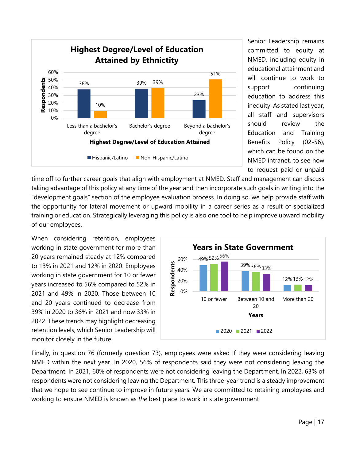

Senior Leadership remains committed to equity at NMED, including equity in educational attainment and will continue to work to support continuing education to address this inequity. As stated last year, all staff and supervisors should review the Education and Training Benefits Policy (02-56), which can be found on the NMED intranet, to see how to request paid or unpaid

time off to further career goals that align with employment at NMED. Staff and management can discuss taking advantage of this policy at any time of the year and then incorporate such goals in writing into the "development goals" section of the employee evaluation process. In doing so, we help provide staff with the opportunity for lateral movement or upward mobility in a career series as a result of specialized training or education. Strategically leveraging this policy is also one tool to help improve upward mobility of our employees.

When considering retention, employees working in state government for more than 20 years remained steady at 12% compared to 13% in 2021 and 12% in 2020. Employees working in state government for 10 or fewer years increased to 56% compared to 52% in 2021 and 49% in 2020. Those between 10 and 20 years continued to decrease from 39% in 2020 to 36% in 2021 and now 33% in 2022. These trends may highlight decreasing retention levels, which Senior Leadership will monitor closely in the future.



Finally, in question 76 (formerly question 73), employees were asked if they were considering leaving NMED within the next year. In 2020, 56% of respondents said they were not considering leaving the Department. In 2021, 60% of respondents were not considering leaving the Department. In 2022, 63% of respondents were not considering leaving the Department. This three-year trend is a steady improvement that we hope to see continue to improve in future years. We are committed to retaining employees and working to ensure NMED is known as *the* best place to work in state government!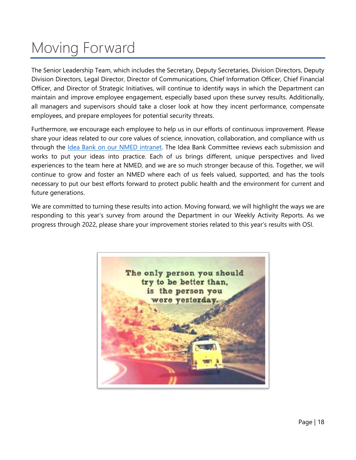# <span id="page-17-0"></span>Moving Forward

The Senior Leadership Team, which includes the Secretary, Deputy Secretaries, Division Directors, Deputy Division Directors, Legal Director, Director of Communications, Chief Information Officer, Chief Financial Officer, and Director of Strategic Initiatives, will continue to identify ways in which the Department can maintain and improve employee engagement, especially based upon these survey results. Additionally, all managers and supervisors should take a closer look at how they incent performance, compensate employees, and prepare employees for potential security threats.

Furthermore, we encourage each employee to help us in our efforts of continuous improvement. Please share your ideas related to our core values of science, innovation, collaboration, and compliance with us through the [Idea Bank on our NMED intranet.](https://dws-q.env.nm.gov/) The Idea Bank Committee reviews each submission and works to put your ideas into practice. Each of us brings different, unique perspectives and lived experiences to the team here at NMED, and we are so much stronger because of this. Together, we will continue to grow and foster an NMED where each of us feels valued, supported, and has the tools necessary to put our best efforts forward to protect public health and the environment for current and future generations.

We are committed to turning these results into action. Moving forward, we will highlight the ways we are responding to this year's survey from around the Department in our Weekly Activity Reports. As we progress through 2022, please share your improvement stories related to this year's results with OSI.

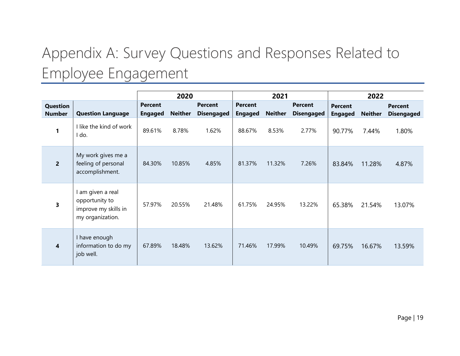# Appendix A: Survey Questions and Responses Related to Employee Engagement

<span id="page-18-0"></span>

|                           |                                                                                 | 2020                             |                |                                     | 2021                             |                | 2022                                |                                  |                |                                     |
|---------------------------|---------------------------------------------------------------------------------|----------------------------------|----------------|-------------------------------------|----------------------------------|----------------|-------------------------------------|----------------------------------|----------------|-------------------------------------|
| Question<br><b>Number</b> | <b>Question Language</b>                                                        | <b>Percent</b><br><b>Engaged</b> | <b>Neither</b> | <b>Percent</b><br><b>Disengaged</b> | <b>Percent</b><br><b>Engaged</b> | <b>Neither</b> | <b>Percent</b><br><b>Disengaged</b> | <b>Percent</b><br><b>Engaged</b> | <b>Neither</b> | <b>Percent</b><br><b>Disengaged</b> |
| 1                         | I like the kind of work<br>I do.                                                | 89.61%                           | 8.78%          | 1.62%                               | 88.67%                           | 8.53%          | 2.77%                               | 90.77%                           | 7.44%          | 1.80%                               |
| $\overline{2}$            | My work gives me a<br>feeling of personal<br>accomplishment.                    | 84.30%                           | 10.85%         | 4.85%                               | 81.37%                           | 11.32%         | 7.26%                               | 83.84%                           | 11.28%         | 4.87%                               |
| 3                         | l am given a real<br>opportunity to<br>improve my skills in<br>my organization. | 57.97%                           | 20.55%         | 21.48%                              | 61.75%                           | 24.95%         | 13.22%                              | 65.38%                           | 21.54%         | 13.07%                              |
| $\overline{\mathbf{4}}$   | I have enough<br>information to do my<br>job well.                              | 67.89%                           | 18.48%         | 13.62%                              | 71.46%                           | 17.99%         | 10.49%                              | 69.75%                           | 16.67%         | 13.59%                              |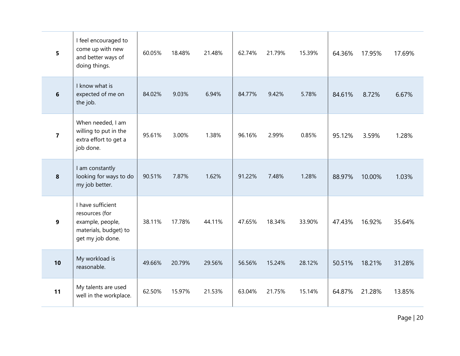| 5               | I feel encouraged to<br>come up with new<br>and better ways of<br>doing things.                      | 60.05% | 18.48% | 21.48% | 62.74% | 21.79% | 15.39% | 64.36% | 17.95% | 17.69% |
|-----------------|------------------------------------------------------------------------------------------------------|--------|--------|--------|--------|--------|--------|--------|--------|--------|
| $6\phantom{1}6$ | I know what is<br>expected of me on<br>the job.                                                      | 84.02% | 9.03%  | 6.94%  | 84.77% | 9.42%  | 5.78%  | 84.61% | 8.72%  | 6.67%  |
| $\overline{7}$  | When needed, I am<br>willing to put in the<br>extra effort to get a<br>job done.                     | 95.61% | 3.00%  | 1.38%  | 96.16% | 2.99%  | 0.85%  | 95.12% | 3.59%  | 1.28%  |
| 8               | I am constantly<br>looking for ways to do<br>my job better.                                          | 90.51% | 7.87%  | 1.62%  | 91.22% | 7.48%  | 1.28%  | 88.97% | 10.00% | 1.03%  |
| 9               | I have sufficient<br>resources (for<br>example, people,<br>materials, budget) to<br>get my job done. | 38.11% | 17.78% | 44.11% | 47.65% | 18.34% | 33.90% | 47.43% | 16.92% | 35.64% |
| 10              | My workload is<br>reasonable.                                                                        | 49.66% | 20.79% | 29.56% | 56.56% | 15.24% | 28.12% | 50.51% | 18.21% | 31.28% |
| 11              | My talents are used<br>well in the workplace.                                                        | 62.50% | 15.97% | 21.53% | 63.04% | 21.75% | 15.14% | 64.87% | 21.28% | 13.85% |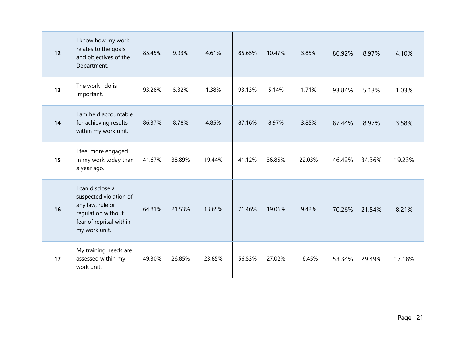| 12 | I know how my work<br>relates to the goals<br>and objectives of the<br>Department.                                               | 85.45% | 9.93%  | 4.61%  | 85.65% | 10.47% | 3.85%  | 86.92% | 8.97%  | 4.10%  |
|----|----------------------------------------------------------------------------------------------------------------------------------|--------|--------|--------|--------|--------|--------|--------|--------|--------|
| 13 | The work I do is<br>important.                                                                                                   | 93.28% | 5.32%  | 1.38%  | 93.13% | 5.14%  | 1.71%  | 93.84% | 5.13%  | 1.03%  |
| 14 | I am held accountable<br>for achieving results<br>within my work unit.                                                           | 86.37% | 8.78%  | 4.85%  | 87.16% | 8.97%  | 3.85%  | 87.44% | 8.97%  | 3.58%  |
| 15 | I feel more engaged<br>in my work today than<br>a year ago.                                                                      | 41.67% | 38.89% | 19.44% | 41.12% | 36.85% | 22.03% | 46.42% | 34.36% | 19.23% |
| 16 | I can disclose a<br>suspected violation of<br>any law, rule or<br>regulation without<br>fear of reprisal within<br>my work unit. | 64.81% | 21.53% | 13.65% | 71.46% | 19.06% | 9.42%  | 70.26% | 21.54% | 8.21%  |
| 17 | My training needs are<br>assessed within my<br>work unit.                                                                        | 49.30% | 26.85% | 23.85% | 56.53% | 27.02% | 16.45% | 53.34% | 29.49% | 17.18% |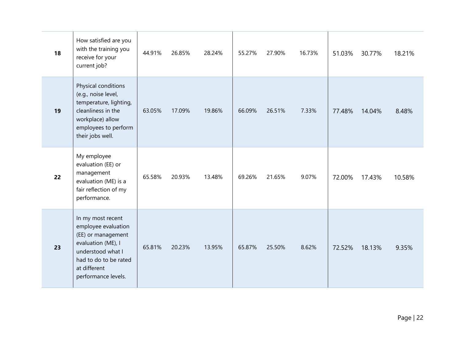| 18 | How satisfied are you<br>with the training you<br>receive for your<br>current job?                                                                                        | 44.91% | 26.85% | 28.24% | 55.27% | 27.90% | 16.73% | 51.03% | 30.77% | 18.21% |
|----|---------------------------------------------------------------------------------------------------------------------------------------------------------------------------|--------|--------|--------|--------|--------|--------|--------|--------|--------|
| 19 | Physical conditions<br>(e.g., noise level,<br>temperature, lighting,<br>cleanliness in the<br>workplace) allow<br>employees to perform<br>their jobs well.                | 63.05% | 17.09% | 19.86% | 66.09% | 26.51% | 7.33%  | 77.48% | 14.04% | 8.48%  |
| 22 | My employee<br>evaluation (EE) or<br>management<br>evaluation (ME) is a<br>fair reflection of my<br>performance.                                                          | 65.58% | 20.93% | 13.48% | 69.26% | 21.65% | 9.07%  | 72.00% | 17.43% | 10.58% |
| 23 | In my most recent<br>employee evaluation<br>(EE) or management<br>evaluation (ME), I<br>understood what I<br>had to do to be rated<br>at different<br>performance levels. | 65.81% | 20.23% | 13.95% | 65.87% | 25.50% | 8.62%  | 72.52% | 18.13% | 9.35%  |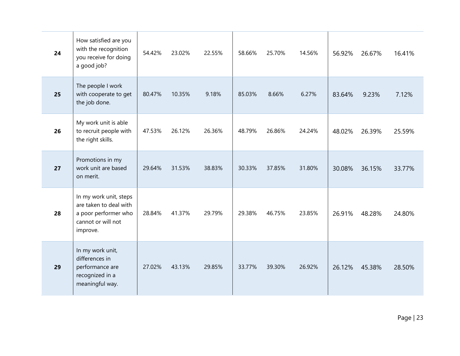| 24 | How satisfied are you<br>with the recognition<br>you receive for doing<br>a good job?                      | 54.42% | 23.02% | 22.55% | 58.66% | 25.70% | 14.56% | 56.92% | 26.67% | 16.41% |
|----|------------------------------------------------------------------------------------------------------------|--------|--------|--------|--------|--------|--------|--------|--------|--------|
| 25 | The people I work<br>with cooperate to get<br>the job done.                                                | 80.47% | 10.35% | 9.18%  | 85.03% | 8.66%  | 6.27%  | 83.64% | 9.23%  | 7.12%  |
| 26 | My work unit is able<br>to recruit people with<br>the right skills.                                        | 47.53% | 26.12% | 26.36% | 48.79% | 26.86% | 24.24% | 48.02% | 26.39% | 25.59% |
| 27 | Promotions in my<br>work unit are based<br>on merit.                                                       | 29.64% | 31.53% | 38.83% | 30.33% | 37.85% | 31.80% | 30.08% | 36.15% | 33.77% |
| 28 | In my work unit, steps<br>are taken to deal with<br>a poor performer who<br>cannot or will not<br>improve. | 28.84% | 41.37% | 29.79% | 29.38% | 46.75% | 23.85% | 26.91% | 48.28% | 24.80% |
| 29 | In my work unit,<br>differences in<br>performance are<br>recognized in a<br>meaningful way.                | 27.02% | 43.13% | 29.85% | 33.77% | 39.30% | 26.92% | 26.12% | 45.38% | 28.50% |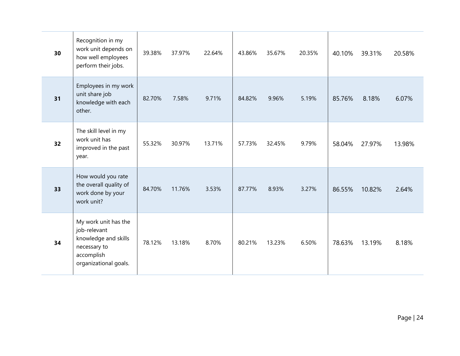| 30 | Recognition in my<br>work unit depends on<br>how well employees<br>perform their jobs.                              | 39.38% | 37.97% | 22.64% | 43.86% | 35.67% | 20.35% | 40.10% | 39.31% | 20.58% |
|----|---------------------------------------------------------------------------------------------------------------------|--------|--------|--------|--------|--------|--------|--------|--------|--------|
| 31 | Employees in my work<br>unit share job<br>knowledge with each<br>other.                                             | 82.70% | 7.58%  | 9.71%  | 84.82% | 9.96%  | 5.19%  | 85.76% | 8.18%  | 6.07%  |
| 32 | The skill level in my<br>work unit has<br>improved in the past<br>year.                                             | 55.32% | 30.97% | 13.71% | 57.73% | 32.45% | 9.79%  | 58.04% | 27.97% | 13.98% |
| 33 | How would you rate<br>the overall quality of<br>work done by your<br>work unit?                                     | 84.70% | 11.76% | 3.53%  | 87.77% | 8.93%  | 3.27%  | 86.55% | 10.82% | 2.64%  |
| 34 | My work unit has the<br>job-relevant<br>knowledge and skills<br>necessary to<br>accomplish<br>organizational goals. | 78.12% | 13.18% | 8.70%  | 80.21% | 13.23% | 6.50%  | 78.63% | 13.19% | 8.18%  |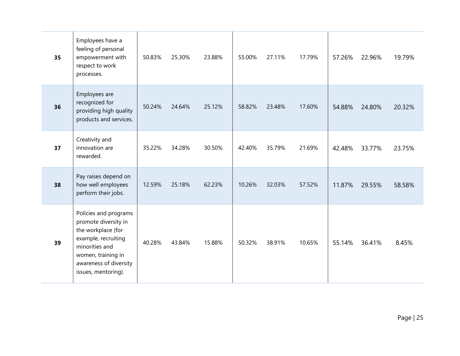| 35 | Employees have a<br>feeling of personal<br>empowerment with<br>respect to work<br>processes.                                                                                        | 50.83% | 25.30% | 23.88% | 55.00% | 27.11% | 17.79% | 57.26% | 22.96% | 19.79% |
|----|-------------------------------------------------------------------------------------------------------------------------------------------------------------------------------------|--------|--------|--------|--------|--------|--------|--------|--------|--------|
| 36 | Employees are<br>recognized for<br>providing high quality<br>products and services.                                                                                                 | 50.24% | 24.64% | 25.12% | 58.82% | 23.48% | 17.60% | 54.88% | 24.80% | 20.32% |
| 37 | Creativity and<br>innovation are<br>rewarded.                                                                                                                                       | 35.22% | 34.28% | 30.50% | 42.40% | 35.79% | 21.69% | 42.48% | 33.77% | 23.75% |
| 38 | Pay raises depend on<br>how well employees<br>perform their jobs.                                                                                                                   | 12.59% | 25.18% | 62.23% | 10.26% | 32.03% | 57.52% | 11.87% | 29.55% | 58.58% |
| 39 | Policies and programs<br>promote diversity in<br>the workplace (for<br>example, recruiting<br>minorities and<br>women, training in<br>awareness of diversity<br>issues, mentoring). | 40.28% | 43.84% | 15.88% | 50.32% | 38.91% | 10.65% | 55.14% | 36.41% | 8.45%  |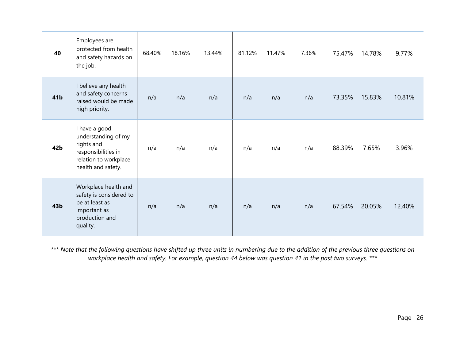| 40              | Employees are<br>protected from health<br>and safety hazards on<br>the job.                                              | 68.40% | 18.16% | 13.44% | 81.12% | 11.47% | 7.36% | 75.47% | 14.78% | 9.77%  |
|-----------------|--------------------------------------------------------------------------------------------------------------------------|--------|--------|--------|--------|--------|-------|--------|--------|--------|
| 41b             | I believe any health<br>and safety concerns<br>raised would be made<br>high priority.                                    | n/a    | n/a    | n/a    | n/a    | n/a    | n/a   | 73.35% | 15.83% | 10.81% |
| 42b             | I have a good<br>understanding of my<br>rights and<br>responsibilities in<br>relation to workplace<br>health and safety. | n/a    | n/a    | n/a    | n/a    | n/a    | n/a   | 88.39% | 7.65%  | 3.96%  |
| 43 <sub>b</sub> | Workplace health and<br>safety is considered to<br>be at least as<br>important as<br>production and<br>quality.          | n/a    | n/a    | n/a    | n/a    | n/a    | n/a   | 67.54% | 20.05% | 12.40% |

*\*\*\* Note that the following questions have shifted up three units in numbering due to the addition of the previous three questions on workplace health and safety. For example, question 44 below was question 41 in the past two surveys. \*\*\**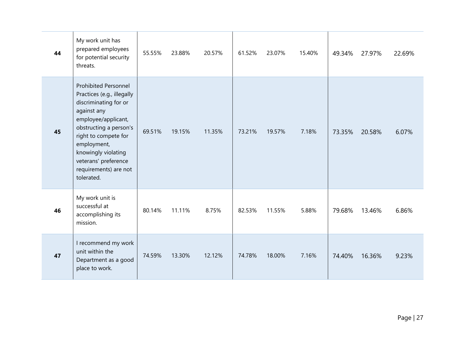| 44 | My work unit has<br>prepared employees<br>for potential security<br>threats.                                                                                                                                                                                                    | 55.55% | 23.88% | 20.57% | 61.52% | 23.07% | 15.40% | 49.34% | 27.97% | 22.69% |
|----|---------------------------------------------------------------------------------------------------------------------------------------------------------------------------------------------------------------------------------------------------------------------------------|--------|--------|--------|--------|--------|--------|--------|--------|--------|
| 45 | <b>Prohibited Personnel</b><br>Practices (e.g., illegally<br>discriminating for or<br>against any<br>employee/applicant,<br>obstructing a person's<br>right to compete for<br>employment,<br>knowingly violating<br>veterans' preference<br>requirements) are not<br>tolerated. | 69.51% | 19.15% | 11.35% | 73.21% | 19.57% | 7.18%  | 73.35% | 20.58% | 6.07%  |
| 46 | My work unit is<br>successful at<br>accomplishing its<br>mission.                                                                                                                                                                                                               | 80.14% | 11.11% | 8.75%  | 82.53% | 11.55% | 5.88%  | 79.68% | 13.46% | 6.86%  |
| 47 | I recommend my work<br>unit within the<br>Department as a good<br>place to work.                                                                                                                                                                                                | 74.59% | 13.30% | 12.12% | 74.78% | 18.00% | 7.16%  | 74.40% | 16.36% | 9.23%  |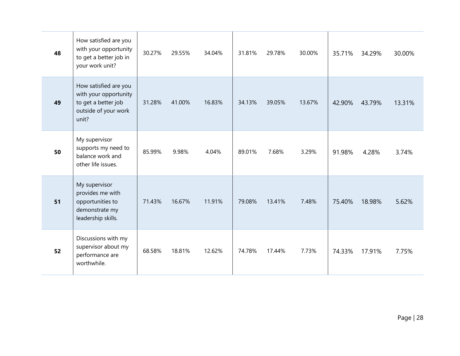| 48 | How satisfied are you<br>with your opportunity<br>to get a better job in<br>your work unit?            | 30.27% | 29.55% | 34.04% | 31.81% | 29.78% | 30.00% | 35.71% | 34.29% | 30.00% |
|----|--------------------------------------------------------------------------------------------------------|--------|--------|--------|--------|--------|--------|--------|--------|--------|
| 49 | How satisfied are you<br>with your opportunity<br>to get a better job<br>outside of your work<br>unit? | 31.28% | 41.00% | 16.83% | 34.13% | 39.05% | 13.67% | 42.90% | 43.79% | 13.31% |
| 50 | My supervisor<br>supports my need to<br>balance work and<br>other life issues.                         | 85.99% | 9.98%  | 4.04%  | 89.01% | 7.68%  | 3.29%  | 91.98% | 4.28%  | 3.74%  |
| 51 | My supervisor<br>provides me with<br>opportunities to<br>demonstrate my<br>leadership skills.          | 71.43% | 16.67% | 11.91% | 79.08% | 13.41% | 7.48%  | 75.40% | 18.98% | 5.62%  |
| 52 | Discussions with my<br>supervisor about my<br>performance are<br>worthwhile.                           | 68.58% | 18.81% | 12.62% | 74.78% | 17.44% | 7.73%  | 74.33% | 17.91% | 7.75%  |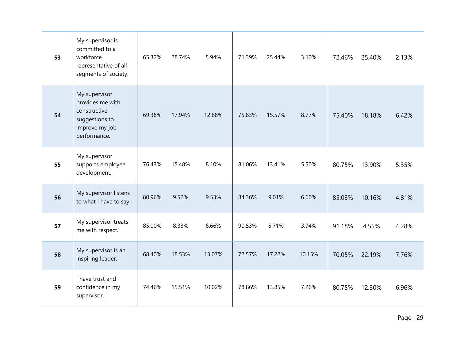| 53 | My supervisor is<br>committed to a<br>workforce<br>representative of all<br>segments of society.      | 65.32% | 28.74% | 5.94%  | 71.39% | 25.44% | 3.10%  | 72.46% | 25.40% | 2.13% |
|----|-------------------------------------------------------------------------------------------------------|--------|--------|--------|--------|--------|--------|--------|--------|-------|
| 54 | My supervisor<br>provides me with<br>constructive<br>suggestions to<br>improve my job<br>performance. | 69.38% | 17.94% | 12.68% | 75.83% | 15.57% | 8.77%  | 75.40% | 18.18% | 6.42% |
| 55 | My supervisor<br>supports employee<br>development.                                                    | 76.43% | 15.48% | 8.10%  | 81.06% | 13.41% | 5.50%  | 80.75% | 13.90% | 5.35% |
| 56 | My supervisor listens<br>to what I have to say.                                                       | 80.96% | 9.52%  | 9.53%  | 84.36% | 9.01%  | 6.60%  | 85.03% | 10.16% | 4.81% |
| 57 | My supervisor treats<br>me with respect.                                                              | 85.00% | 8.33%  | 6.66%  | 90.53% | 5.71%  | 3.74%  | 91.18% | 4.55%  | 4.28% |
| 58 | My supervisor is an<br>inspiring leader.                                                              | 68.40% | 18.53% | 13.07% | 72.57% | 17.22% | 10.15% | 70.05% | 22.19% | 7.76% |
| 59 | I have trust and<br>confidence in my<br>supervisor.                                                   | 74.46% | 15.51% | 10.02% | 78.86% | 13.85% | 7.26%  | 80.75% | 12.30% | 6.96% |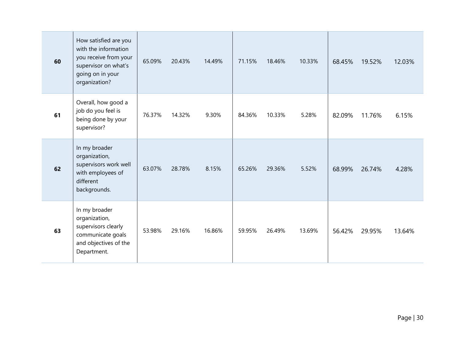| 60 | How satisfied are you<br>with the information<br>you receive from your<br>supervisor on what's<br>going on in your<br>organization? | 65.09% | 20.43% | 14.49% | 71.15% | 18.46% | 10.33% | 68.45% | 19.52% | 12.03% |
|----|-------------------------------------------------------------------------------------------------------------------------------------|--------|--------|--------|--------|--------|--------|--------|--------|--------|
| 61 | Overall, how good a<br>job do you feel is<br>being done by your<br>supervisor?                                                      | 76.37% | 14.32% | 9.30%  | 84.36% | 10.33% | 5.28%  | 82.09% | 11.76% | 6.15%  |
| 62 | In my broader<br>organization,<br>supervisors work well<br>with employees of<br>different<br>backgrounds.                           | 63.07% | 28.78% | 8.15%  | 65.26% | 29.36% | 5.52%  | 68.99% | 26.74% | 4.28%  |
| 63 | In my broader<br>organization,<br>supervisors clearly<br>communicate goals<br>and objectives of the<br>Department.                  | 53.98% | 29.16% | 16.86% | 59.95% | 26.49% | 13.69% | 56.42% | 29.95% | 13.64% |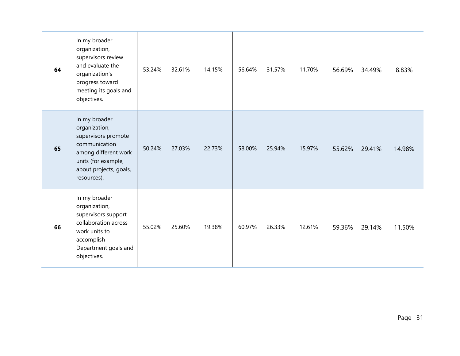| 64 | In my broader<br>organization,<br>supervisors review<br>and evaluate the<br>organization's<br>progress toward<br>meeting its goals and<br>objectives.          | 53.24% | 32.61% | 14.15% | 56.64% | 31.57% | 11.70% | 56.69% | 34.49% | 8.83%  |
|----|----------------------------------------------------------------------------------------------------------------------------------------------------------------|--------|--------|--------|--------|--------|--------|--------|--------|--------|
| 65 | In my broader<br>organization,<br>supervisors promote<br>communication<br>among different work<br>units (for example,<br>about projects, goals,<br>resources). | 50.24% | 27.03% | 22.73% | 58.00% | 25.94% | 15.97% | 55.62% | 29.41% | 14.98% |
| 66 | In my broader<br>organization,<br>supervisors support<br>collaboration across<br>work units to<br>accomplish<br>Department goals and<br>objectives.            | 55.02% | 25.60% | 19.38% | 60.97% | 26.33% | 12.61% | 59.36% | 29.14% | 11.50% |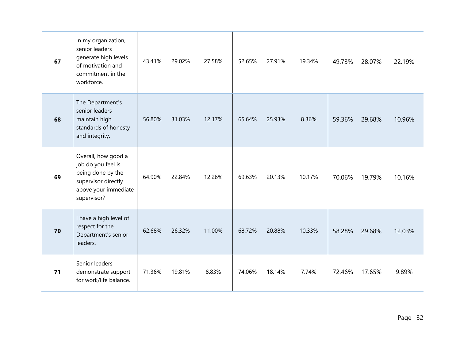| 67 | In my organization,<br>senior leaders<br>generate high levels<br>of motivation and<br>commitment in the<br>workforce.        | 43.41% | 29.02% | 27.58% | 52.65% | 27.91% | 19.34% | 49.73% | 28.07% | 22.19% |
|----|------------------------------------------------------------------------------------------------------------------------------|--------|--------|--------|--------|--------|--------|--------|--------|--------|
| 68 | The Department's<br>senior leaders<br>maintain high<br>standards of honesty<br>and integrity.                                | 56.80% | 31.03% | 12.17% | 65.64% | 25.93% | 8.36%  | 59.36% | 29.68% | 10.96% |
| 69 | Overall, how good a<br>job do you feel is<br>being done by the<br>supervisor directly<br>above your immediate<br>supervisor? | 64.90% | 22.84% | 12.26% | 69.63% | 20.13% | 10.17% | 70.06% | 19.79% | 10.16% |
| 70 | I have a high level of<br>respect for the<br>Department's senior<br>leaders.                                                 | 62.68% | 26.32% | 11.00% | 68.72% | 20.88% | 10.33% | 58.28% | 29.68% | 12.03% |
| 71 | Senior leaders<br>demonstrate support<br>for work/life balance.                                                              | 71.36% | 19.81% | 8.83%  | 74.06% | 18.14% | 7.74%  | 72.46% | 17.65% | 9.89%  |